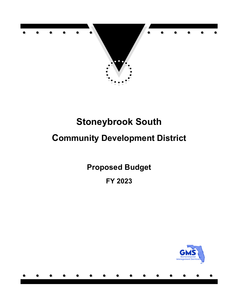

# **Community Development District**

**Proposed Budget FY 2023**

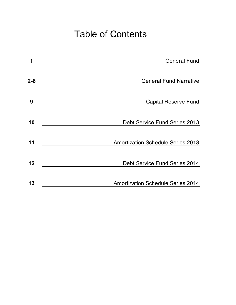# Table of Contents

| 1       | <b>General Fund</b>                      |
|---------|------------------------------------------|
|         |                                          |
| $2 - 8$ | <b>General Fund Narrative</b>            |
|         |                                          |
| 9       | <b>Capital Reserve Fund</b>              |
|         |                                          |
| 10      | Debt Service Fund Series 2013            |
|         |                                          |
| 11      | <b>Amortization Schedule Series 2013</b> |
|         |                                          |
| 12      | Debt Service Fund Series 2014            |
|         |                                          |
| 13      | <b>Amortization Schedule Series 2014</b> |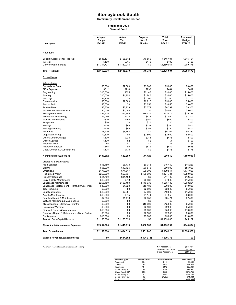**Community Development District**

#### **General Fund Fiscal Year 2023**

| <b>Description</b>                                          | Adopted<br><b>Budget</b><br>FY2022 | Actual<br>Thru<br>2/28/22 | Projected<br>Next 7<br><b>Months</b> | Total<br>Thru<br>9/30/22 | Proposed<br><b>Budget</b><br>FY2023 |
|-------------------------------------------------------------|------------------------------------|---------------------------|--------------------------------------|--------------------------|-------------------------------------|
|                                                             |                                    |                           |                                      |                          |                                     |
| <b>Revenues</b>                                             |                                    |                           |                                      |                          |                                     |
| Special Assessments - Tax Roll<br>Interest                  | \$845,101<br>\$100                 | \$768,542<br>\$315        | \$76,559<br>\$175                    | \$845,101<br>\$490       | \$845,101<br>\$100                  |
| Carry Forward Surplus                                       | \$1,314,737                        | \$1,350,014 *             | \$0                                  | \$1,350,014              | \$209,378                           |
| <b>Total Revenues</b>                                       | \$2,159,938                        | \$2,118,870               | \$76,734                             | \$2,195,604              | \$1,054,579                         |
| <b>Expenditures</b>                                         |                                    |                           |                                      |                          |                                     |
| <u>Administrative</u>                                       |                                    |                           |                                      |                          |                                     |
| <b>Supervisors Fees</b>                                     | \$8,000                            | \$2,800                   | \$3,000                              | \$5,800                  | \$8,000                             |
| <b>FICA Expense</b>                                         | \$612                              | \$214                     | \$230                                | \$444                    | \$612                               |
| Engineering                                                 | \$15,000                           | \$855                     | \$2,145                              | \$3,000                  | \$15,000                            |
| Attorney                                                    | \$15,000                           | \$1,254                   | \$1,746                              | \$3,000                  | \$15,000                            |
| Arbitrage                                                   | \$1,100                            | \$0                       | \$1,100                              | \$1,100                  | \$1,100                             |
| Dissemination                                               | \$5,000                            | \$2,083                   | \$2,917                              | \$5,000                  | \$5,000                             |
| Annual Audit                                                | \$3,650                            | \$0                       | \$3,650                              | \$3,650                  | \$3,650                             |
| <b>Trustee Fees</b>                                         | \$8,300                            | \$6,223                   | \$2,074                              | \$8,297                  | \$8,300                             |
| Assessment Administration                                   | \$5,000                            | \$5,000                   | \$0                                  | \$5,000                  | \$5,000                             |
| <b>Management Fees</b>                                      | \$33,475                           | \$13,948                  | \$19,527                             | \$33,475                 | \$35,149                            |
| Information Technology<br>Website Maintenance               | \$1,050                            | \$438<br>\$250            | \$613                                | \$1,050                  | \$1,300<br>\$800                    |
| Telephone                                                   | \$600<br>\$50                      | \$0                       | \$350<br>\$25                        | \$600<br>\$25            | \$50                                |
| Postage                                                     | \$500                              | \$69                      | \$231                                | \$300                    | \$500                               |
| Printing & Binding                                          | \$400                              | \$96                      | \$154                                | \$250                    | \$400                               |
| Insurance                                                   | \$6,200                            | \$5,764                   | \$0                                  | \$5,764                  | \$6,350                             |
| Legal Advertising                                           | \$2,500                            | \$0                       | \$2,500                              | \$2,500                  | \$2,500                             |
| Other Current Charges                                       | \$300                              | \$228                     | \$245                                | \$473                    | \$300                               |
| <b>Office Supplies</b>                                      | \$100                              | \$2                       | \$2                                  | \$4                      | \$100                               |
| <b>Property Taxes</b>                                       | \$5                                | \$1                       | \$0                                  | \$1                      | \$5                                 |
| Property Appraiser                                          | \$545                              | \$0                       | \$612                                | \$612                    | \$625                               |
| Dues, Licenses & Subscriptions                              | \$175                              | \$175                     | \$0                                  | \$175                    | \$175                               |
| <b>Administrative Expenses</b>                              | \$107,562                          | \$39,399                  | \$41,120                             | \$80,519                 | \$109,916                           |
| Operation & Maintenance                                     |                                    |                           |                                      |                          |                                     |
| <b>Field Services</b>                                       | \$15,450                           | \$6,438                   | \$9,013                              | \$15,450                 | \$16,223                            |
| Electric                                                    | \$55,000                           | \$19,125                  | \$30,875                             | \$50,000                 | \$55,000                            |
| Streetlights                                                | \$177,000                          | \$71,517                  | \$98,000                             | \$169,517                | \$177,000                           |
| <b>Reclaimed Water</b>                                      | \$250,000                          | \$69,731                  | \$105,000                            | \$174,731                | \$250,000                           |
| Property Insurance                                          | \$11,750                           | \$11,403                  | \$0                                  | \$11,403                 | \$12,550                            |
| Entry & Walls Maintenance                                   | \$15,000                           | \$618                     | \$6,882                              | \$7,500                  | \$15,000                            |
| Landscape Maintenance                                       | \$255,480                          | \$106,450                 | \$149,030                            | \$255,480                | \$268,254                           |
| Landscape Replacement - Plants, Shrubs, Trees               | \$40,000                           | \$1,520                   | \$18,480                             | \$20,000                 | \$40,000                            |
| <b>Tree Trimming</b>                                        | \$5,000                            | \$0                       | \$2,500                              | \$2,500                  | \$5,000                             |
| Irrigation Repairs                                          | \$15,000                           | \$2,391                   | \$7,609                              | \$10,000                 | \$15,000                            |
| Aquatic Maintenance                                         | \$10,000                           | \$815                     | \$1,141                              | \$1,956                  | \$3,000                             |
| Fountain Repair & Maintenance                               | \$7,500                            | \$1,416                   | \$2,058                              | \$3,474                  | \$7,500                             |
| Wetland Monitoring & Maintenance                            | \$6,500                            | \$0                       | \$0                                  | \$0                      | \$0                                 |
| Miscellaneous - Stormwater Control                          | \$5,000                            | \$0                       | \$15,000                             | \$15,000                 | \$5,000                             |
| Pressuring Washing                                          | \$5,000                            | \$0                       | \$2,500                              | \$2,500                  | \$5,000                             |
| Sidewalk Repair & Maintenance                               | \$10,000                           | \$0                       | \$5,000                              | \$5,000                  | \$10,000                            |
| Roadway Repair & Maintenance - Storm Gutters<br>Contingency | \$5,000                            | \$0                       | \$2,500                              | \$2,500<br>\$5,000       | \$5,000                             |
| Transfer Out - Capital Reserve                              | \$10,000<br>\$1,153,696            | \$0<br>\$1,153,696        | \$5,000<br>\$0                       | \$1,153,696              | \$10,000<br>\$45,137                |
| <b>Operation &amp; Maintenance Expenses</b>                 | \$2,052,376                        | \$1,445,119               | \$460,588                            | \$1,905,707              | \$944,664                           |
| <b>Total Expenditures</b>                                   | \$2,159,938                        | \$1,484,519               | \$501,707                            | \$1,986,226              | \$1,054,579                         |
|                                                             |                                    |                           |                                      |                          |                                     |
| <b>Excess Revenues/(Expenditures)</b>                       | \$0                                | \$634,352                 | (\$424, 973)                         | \$209,378                | \$0                                 |

\*Less Carry Forward Surplus less 1st Quarter Operating Net Assessment \$845,101

| Net Assessment       | \$845.101 |
|----------------------|-----------|
| Collection Cost (6%) | \$53.943  |
| Gross Assessment     | \$899,044 |

| <b>Property Type</b> | <b>Platted Units</b> | <b>Gross Per Unit</b> | <b>Gross Total</b> |
|----------------------|----------------------|-----------------------|--------------------|
| Apartment            | 304                  | \$12                  | \$3,496            |
| Condo                | 168                  | \$343                 | \$57.617           |
| Townhome             | 181                  | \$446                 | \$80,697           |
| Single Family 40'    | 82                   | \$549                 | \$44.995           |
| Single Family 50'    | 698                  | \$686                 | \$478.758          |
| Single Family 60'    | 197                  | \$823                 | \$162.147          |
| Single Family 80'    | 65                   | \$1,097               | \$71,334           |
| Total                | 1695                 |                       | \$899.044          |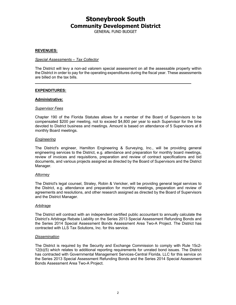GENERAL FUND BUDGET

#### **REVENUES:**

#### *Special Assessments – Tax Collector*

The District will levy a non-ad valorem special assessment on all the assessable property within the District in order to pay for the operating expenditures during the fiscal year. These assessments are billed on the tax bills.

#### **EXPENDITURES:**

#### **Administrative:**

#### *Supervisor Fees*

Chapter 190 of the Florida Statutes allows for a member of the Board of Supervisors to be compensated \$200 per meeting, not to exceed \$4,800 per year to each Supervisor for the time devoted to District business and meetings. Amount is based on attendance of 5 Supervisors at 8 monthly Board meetings.

#### *Engineering*

The District's engineer, Hamilton Engineering & Surveying, Inc., will be providing general engineering services to the District, e.g. attendance and preparation for monthly board meetings, review of invoices and requisitions, preparation and review of contract specifications and bid documents, and various projects assigned as directed by the Board of Supervisors and the District Manager.

#### *Attorney*

The District's legal counsel, Straley, Robin & Vericker, will be providing general legal services to the District, e.g. attendance and preparation for monthly meetings, preparation and review of agreements and resolutions, and other research assigned as directed by the Board of Supervisors and the District Manager.

#### *Arbitrage*

The District will contract with an independent certified public accountant to annually calculate the District's Arbitrage Rebate Liability on the Series 2013 Special Assessment Refunding Bonds and the Series 2014 Special Assessment Bonds Assessment Area Two-A Project. The District has contracted with LLS Tax Solutions, Inc. for this service.

#### *Dissemination*

The District is required by the Security and Exchange Commission to comply with Rule 15c2- 12(b)(5) which relates to additional reporting requirements for unrated bond issues. The District has contracted with Governmental Management Services-Central Florida, LLC for this service on the Series 2013 Special Assessment Refunding Bonds and the Series 2014 Special Assessment Bonds Assessment Area Two-A Project.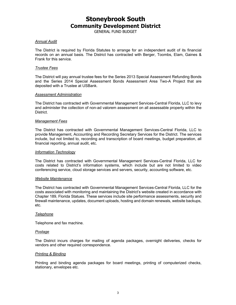GENERAL FUND BUDGET

#### *Annual Audit*

The District is required by Florida Statutes to arrange for an independent audit of its financial records on an annual basis. The District has contracted with Berger, Toombs, Elam, Gaines & Frank for this service.

#### *Trustee Fees*

The District will pay annual trustee fees for the Series 2013 Special Assessment Refunding Bonds and the Series 2014 Special Assessment Bonds Assessment Area Two-A Project that are deposited with a Trustee at USBank.

#### *Assessment Administration*

The District has contracted with Governmental Management Services-Central Florida, LLC to levy and administer the collection of non-ad valorem assessment on all assessable property within the **District** 

#### *Management Fees*

The District has contracted with Governmental Management Services-Central Florida, LLC to provide Management, Accounting and Recording Secretary Services for the District. The services include, but not limited to, recording and transcription of board meetings, budget preparation, all financial reporting, annual audit, etc.

#### *Information Technology*

The District has contracted with Governmental Management Services-Central Florida, LLC for costs related to District's information systems, which include but are not limited to video conferencing service, cloud storage services and servers, security, accounting software, etc.

#### *Website Maintenance*

The District has contracted with Governmental Management Services-Central Florida, LLC for the costs associated with monitoring and maintaining the District's website created in accordance with Chapter 189, Florida Statues. These services include site performance assessments, security and firewall maintenance, updates, document uploads, hosting and domain renewals, website backups, etc.

#### *Telephone*

Telephone and fax machine.

#### *Postage*

The District incurs charges for mailing of agenda packages, overnight deliveries, checks for vendors and other required correspondence.

#### *Printing & Binding*

Printing and binding agenda packages for board meetings, printing of computerized checks, stationary, envelopes etc.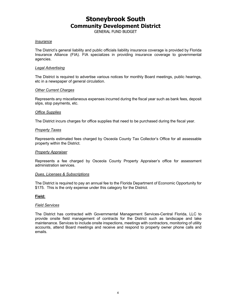GENERAL FUND BUDGET

#### *Insurance*

The District's general liability and public officials liability insurance coverage is provided by Florida Insurance Alliance (FIA). FIA specializes in providing insurance coverage to governmental agencies.

#### *Legal Advertising*

The District is required to advertise various notices for monthly Board meetings, public hearings, etc in a newspaper of general circulation.

#### *Other Current Charges*

Represents any miscellaneous expenses incurred during the fiscal year such as bank fees, deposit slips, stop payments, etc.

#### *Office Supplies*

The District incurs charges for office supplies that need to be purchased during the fiscal year.

#### *Property Taxes*

Represents estimated fees charged by Osceola County Tax Collector's Office for all assessable property within the District.

#### *Property Appraiser*

Represents a fee charged by Osceola County Property Appraiser's office for assessment administration services.

#### *Dues, Licenses & Subscriptions*

The District is required to pay an annual fee to the Florida Department of Economic Opportunity for \$175. This is the only expense under this category for the District.

#### **Field:**

#### *Field Services*

The District has contracted with Governmental Management Services-Central Florida, LLC to provide onsite field management of contracts for the District such as landscape and lake maintenance. Services to include onsite inspections, meetings with contractors, monitoring of utility accounts, attend Board meetings and receive and respond to property owner phone calls and emails.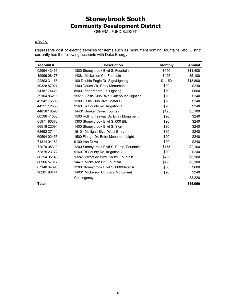GENERAL FUND BUDGET

#### *Electric*

Represents cost of electric services for items such as monument lighting, fountains, etc. District currently has the following accounts with Duke Energy.

| Account#     | <b>Description</b>                        | <b>Monthly</b> | Annual   |
|--------------|-------------------------------------------|----------------|----------|
| 02594 43466  | 1300 Stoneybrook Blvd S, Fountain         | \$950          | \$11,400 |
| 19999 08478  | 14381 Mickelson Ct., Fountain             | \$425          | \$5,100  |
| 22303 31158  | 100 Double Eagle Dr, Sign/Lighting        | \$1,150        | \$13,800 |
| 30328 57027  | 1400 Deuce Cir, Entry Monument            | \$20           | \$240    |
| 34187 74421  | 8900 Leaderboard Ln, Lighting             | \$50           | \$600    |
| 39104 86219  | 15511 Oasis Club Blvd, Gatehouse Lighting | \$20           | \$240    |
| 42942 76505  | 1200 Oasis Club Blvd, Meter B             | \$20           | \$240    |
| 44221 12556  | 9160 Tri County Rd, Irrigation 1          | \$20           | \$240    |
| 44858 16595  | 14431 Bunker Drive, Fountain              | \$425          | \$5,100  |
| 60596 41580  | 1500 Rolling Fairway Dr, Entry Monument   | \$20           | \$240    |
| 6597186373   | 1300 Stoneybrook Blvd S, 000 Blk          | \$20           | \$240    |
| 66516 22094  | 1400 Stoneybrook Blvd S, Sign             | \$20           | \$240    |
| 68692 27114  | 15101 Mulligan Blvd, West Entry           | \$20           | \$240    |
| 69594 02456  | 1500 Flange Dr, Entry Monument Light      | \$20           | \$240    |
| 71314 04162  | 9100 Iron Drive                           | \$20           | \$240    |
| 72079 05312  | 1200 Stoneybrook Blvd S, Pump, Fountains  | \$175          | \$2,100  |
| 72875 23172  | 9160 Tri County Rd, Irrigation 2          | \$20           | \$240    |
| 80294 95143  | 13241 Westside Blvd. South, Fountain      | \$425          | \$5,100  |
| 80906 57317  | 14471 Mickelson Ct., Fountain             | \$425          | \$5,100  |
| 87148 64390  | 1200 Stoneybrook Blvd S, 000/Meter A      | \$50           | \$600    |
| 90281 90444  | 14031 Mickelson Ct, Entry Monument        | \$20           | \$240    |
|              | Contingency                               |                | \$3,220  |
| <b>Total</b> |                                           |                | \$55,000 |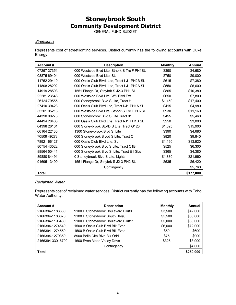GENERAL FUND BUDGET

#### *Streetlights*

Represents cost of streetlighting services. District currently has the following accounts with Duke Energy.

| Account#    | <b>Description</b>                            | <b>Monthly</b> | Annual    |
|-------------|-----------------------------------------------|----------------|-----------|
| 07257 37351 | 000 Westside Blvd Lite, Stnbrk S Trc F PH1SL  | \$390          | \$4,680   |
| 08875 69404 | 000 Westside Blvd Lite, SL                    | \$750          | \$9,000   |
| 11752 29410 | 000 Oasis Club Blvd, Lite, Tract I-J1 PH2B SL | \$615          | \$7,380   |
| 11808 28292 | 000 Oasis Club Blvd, Lite, Tract I-J1 PH2A SL | \$550          | \$6,600   |
| 14919 28503 | 1551 Flange Dr, Stnybrk S J2-3 PH1 SL         | \$865          | \$10,380  |
| 22281 23548 | 000 Westside Blvd Lite, WS Blvd Ext           | \$650          | \$7,800   |
| 26124 79555 | 000 Stoneybrook Blvd S Lite, Tract H          | \$1,450        | \$17,400  |
| 27410 39423 | 000 Oasis Club Blvd Lite, Tract I-J1 PH1A SL  | \$415          | \$4,980   |
| 35201 95218 | 000 Westside Blvd Lite, Stnbrk S Trc F PH2SL  | \$930          | \$11,160  |
| 44390 00276 | 000 Stoneybrook Blvd S Lite Tract 01          | \$455          | \$5,460   |
| 44494 20468 | 000 Oasis Club Blvd Lite, Tract I-J1 PH1B SL  | \$250          | \$3,000   |
| 64398 26101 | 000 Stoneybrook BLVD S Lite, Tract G123       | \$1,325        | \$15,900  |
| 66164 22136 | 1300 Stoneybrook Blvd S, Lite                 | \$390          | \$4,680   |
| 70509 49273 | 000 Stoneybrook Blvdd S Lite, Tract C         | \$820          | \$9,840   |
| 78921 66127 | 000 Oasis Club Blvd Lite, SL                  | \$1,160        | \$13,920  |
| 80754 43522 | 000 Stoneybrook Blvd S Lite, Tract C1B        | \$525          | \$6,300   |
| 88564 50441 | 000 Stoneybrook Blvd S, Lite, Tract E1 SLs    | \$365          | \$4,380   |
| 89880 84491 | 0 Stoneybrook Blvd S Lite, Lights             | \$1,830        | \$21,960  |
| 91695 13490 | 1551 Flange Dr, Stnybrk S J2-3 PH2 SL         | \$535          | \$6,420   |
|             | Contingency                                   |                | \$5,760   |
| Total       |                                               |                | \$177,000 |

#### *Reclaimed Water*

Represents cost of reclaimed water services. District currently has the following accounts with Toho Water Authority.

| Account#         | <b>Description</b>                  | <b>Monthly</b> | Annual    |
|------------------|-------------------------------------|----------------|-----------|
| 2166394-1188660  | 9100 E Stoneybrook Boulevard Blk#3  | \$3.500        | \$42,000  |
| 2166394-1188670  | 9100 E Stoneybrook South Blk#6      | \$5,500        | \$66,000  |
| 2166394-1196480  | 9100 E Stoneybrook Boulevard Blk#11 | \$5,000        | \$60,000  |
| 2166394-1274540  | 1500 A Oasis Club Blvd Blk Even     | \$6,000        | \$72,000  |
| 2166394-1274550  | 1500 B Oasis Club Blyd Blk Even     | \$50           | \$600     |
| 2166394-1279350  | 8900 Bella Cita Blvd Blk Odd        | \$75           | \$900     |
| 2166394-33016799 | 1600 Even Moon Valley Drive         | \$325          | \$3,900   |
|                  | Contingency                         |                | \$4,600   |
| Total            |                                     |                | \$250,000 |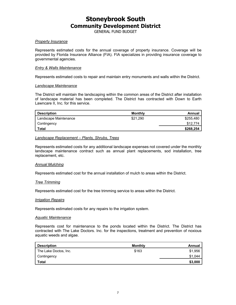GENERAL FUND BUDGET

#### *Property Insurance*

Represents estimated costs for the annual coverage of property insurance. Coverage will be provided by Florida Insurance Alliance (FIA). FIA specializes in providing insurance coverage to governmental agencies.

#### *Entry & Walls Maintenance*

Represents estimated costs to repair and maintain entry monuments and walls within the District.

#### *Landscape Maintenance*

The District will maintain the landscaping within the common areas of the District after installation of landscape material has been completed. The District has contracted with Down to Earth Lawncare II, Inc. for this service.

| <b>Description</b>    | Monthly  | Annual    |
|-----------------------|----------|-----------|
| Landscape Maintenance | \$21.290 | \$255,480 |
| Contingency           |          | \$12,774  |
| Total                 |          | \$268,254 |

#### *Landscape Replacement – Plants, Shrubs, Trees*

Represents estimated costs for any additional landscape expenses not covered under the monthly landscape maintenance contract such as annual plant replacements, sod installation, tree replacement, etc.

#### *Annual Mulching*

Represents estimated cost for the annual installation of mulch to areas within the District.

#### *Tree Trimming*

Represents estimated cost for the tree trimming service to areas within the District.

#### *Irrigation Repairs*

Represents estimated costs for any repairs to the irrigation system.

#### *Aquatic Maintenance*

Represents cost for maintenance to the ponds located within the District. The District has contracted with The Lake Doctors. Inc. for the inspections, treatment and prevention of noxious aquatic weeds and algae.

| <b>Description</b>    | <b>Monthly</b> | Annual  |
|-----------------------|----------------|---------|
| The Lake Doctos, Inc. | \$163          | \$1,956 |
| Contingency           |                | \$1,044 |
| Total                 |                | \$3,000 |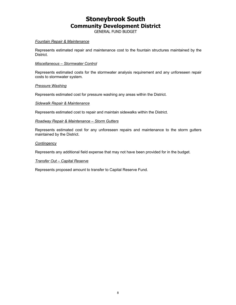GENERAL FUND BUDGET

#### *Fountain Repair & Maintenance*

Represents estimated repair and maintenance cost to the fountain structures maintained by the District.

#### *Miscellaneous – Stormwater Control*

Represents estimated costs for the stormwater analysis requirement and any unforeseen repair costs to stormwater system.

#### *Pressure Washing*

Represents estimated cost for pressure washing any areas within the District.

#### *Sidewalk Repair & Maintenance*

Represents estimated cost to repair and maintain sidewalks within the District.

#### *Roadway Repair & Maintenance – Storm Gutters*

Represents estimated cost for any unforeseen repairs and maintenance to the storm gutters maintained by the District.

#### *Contingency*

Represents any additional field expense that may not have been provided for in the budget.

#### *Transfer Out – Capital Reserve*

Represents proposed amount to transfer to Capital Reserve Fund.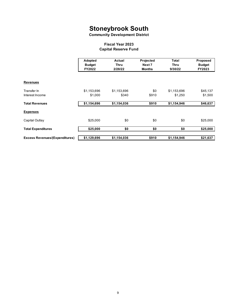**Community Development District**

#### **Fiscal Year 2023 Capital Reserve Fund**

|                                       | Adopted<br><b>Budget</b><br>FY2022 | Actual<br>Thru<br>2/28/22 | Projected<br>Next 7<br><b>Months</b> | <b>Total</b><br>Thru<br>9/30/22 | Proposed<br><b>Budget</b><br>FY2023 |
|---------------------------------------|------------------------------------|---------------------------|--------------------------------------|---------------------------------|-------------------------------------|
| <b>Revenues</b>                       |                                    |                           |                                      |                                 |                                     |
| Transfer In<br>Interest Income        | \$1,153,696<br>\$1,000             | \$1,153,696<br>\$340      | \$0<br>\$910                         | \$1,153,696<br>\$1,250          | \$45,137<br>\$1,500                 |
| <b>Total Revenues</b>                 | \$1,154,696                        | \$1,154,036               | \$910                                | \$1,154,946                     | \$46,637                            |
| <b>Expenses</b>                       |                                    |                           |                                      |                                 |                                     |
| Capital Outlay                        | \$25,000                           | \$0                       | \$0                                  | \$0                             | \$25,000                            |
| <b>Total Expenditures</b>             | \$25,000                           | \$0                       | \$0                                  | \$0                             | \$25,000                            |
| <b>Excess Revenues/(Expenditures)</b> | \$1,129,696                        | \$1,154,036               | \$910                                | \$1,154,946                     | \$21,637                            |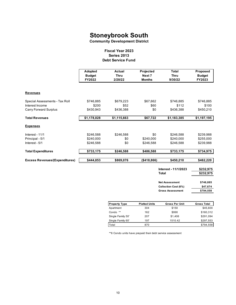**Community Development District**

#### **Debt Service Fund Fiscal Year 2023 Series 2013**

|                                       | Adopted<br><b>Budget</b><br>FY2022 | Actual<br><b>Thru</b><br>2/28/22 | Projected<br>Next 7<br><b>Months</b> | <b>Total</b><br><b>Thru</b><br>9/30/22 | Proposed<br><b>Budget</b><br>FY2023 |
|---------------------------------------|------------------------------------|----------------------------------|--------------------------------------|----------------------------------------|-------------------------------------|
| <b>Revenues</b>                       |                                    |                                  |                                      |                                        |                                     |
| Special Assessments - Tax Roll        | \$746,885                          | \$679,223                        | \$67,662                             | \$746,885                              | \$746,885                           |
| Interest Income                       | \$200                              | \$52                             | \$60                                 | \$112                                  | \$100                               |
| <b>Carry Forward Surplus</b>          | \$430,943                          | \$436,388                        | \$0                                  | \$436,388                              | \$450,210                           |
| <b>Total Revenues</b>                 | \$1,178,028                        | \$1,115,663                      | \$67,722                             | \$1,183,385                            | \$1,197,195                         |
| <b>Expenses</b>                       |                                    |                                  |                                      |                                        |                                     |
| Interest - 11/1                       | \$246,588                          | \$246,588                        | \$0                                  | \$246,588                              | \$239,988                           |
| Principal - 5/1                       | \$240,000                          | \$0                              | \$240,000                            | \$240,000                              | \$255,000                           |
| Interest - 5/1                        | \$246,588                          | \$0                              | \$246,588                            | \$246,588                              | \$239,988                           |
| <b>Total Expenditures</b>             | \$733,175                          | \$246,588                        | \$486,588                            | \$733,175                              | \$734,975                           |
| <b>Excess Revenues/(Expenditures)</b> | \$444,853                          | \$869,076                        | ( \$418, 866)                        | \$450,210                              | \$462,220                           |
|                                       |                                    |                                  |                                      | Interest - 11/1/2023                   | \$232,975                           |
|                                       |                                    |                                  |                                      | <b>Total</b>                           | \$232,975                           |
|                                       |                                    |                                  |                                      | <b>Net Assessment</b>                  | \$746,885                           |
|                                       |                                    |                                  |                                      | Collection Cost (6%)                   | \$47,674                            |
|                                       |                                    |                                  |                                      | <b>Gross Assessment</b>                | \$794,558                           |
|                                       |                                    |                                  |                                      |                                        |                                     |
|                                       |                                    | <b>Property Type</b>             | <b>Platted Units</b>                 | <b>Gross Per Unit</b>                  | <b>Gross Total</b>                  |
|                                       |                                    | Apartment                        | 304                                  | \$150                                  | \$45,600                            |
|                                       |                                    | Condo **                         | 162                                  | \$990                                  | \$160,312                           |

\*\*6 Condo units have prepaid their debt service assessment

Single Family 50' 207 \$1,406 \$291,094 Single Family 60' 197 1510.42 \$297,553 Total \$794,558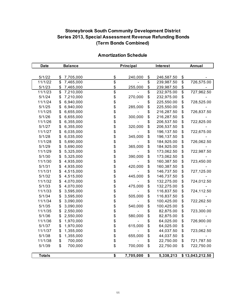### **Stoneybrook South Community Development District Series 2013, Special Assessment Revenue Refunding Bonds (Term Bonds Combined)**

| <b>Date</b>   | <b>Balance</b>               |                 | Principal<br>Interest |                 |            | Annual                             |                 |
|---------------|------------------------------|-----------------|-----------------------|-----------------|------------|------------------------------------|-----------------|
|               |                              |                 |                       |                 |            |                                    |                 |
| 5/1/22        | \$<br>7,705,000              | \$              | 240,000               | \$              | 246,587.50 | \$                                 |                 |
| 11/1/22       | \$<br>7,465,000              | \$              |                       | $\overline{\$}$ | 239,987.50 | $\overline{\boldsymbol{\epsilon}}$ | 726,575.00      |
| 5/1/23        | \$<br>7,465,000              | \$              | 255,000               | \$              | 239,987.50 | \$                                 |                 |
| 11/1/23       | $\overline{\$}$<br>7,210,000 | $\overline{\$}$ |                       | $\overline{\$}$ | 232,975.00 | \$                                 | 727,962.50      |
| 5/1/24        | \$<br>7,210,000              | \$              | 270,000               | \$              | 232,975.00 | \$                                 |                 |
| 11/1/24       | \$<br>6,940,000              | \$              |                       | \$              | 225,550.00 | \$                                 | 728,525.00      |
| 5/1/25        | \$<br>6,940,000              | \$              | 285,000               | \$              | 225,550.00 | \$                                 |                 |
| 11/1/25       | \$<br>6,655,000              | \$<br>\$        |                       | \$              | 216,287.50 | \$                                 | 726,837.50      |
| 5/1/26        | \$<br>6,655,000              |                 | 300,000               | \$              | 216,287.50 | \$                                 |                 |
| 11/1/26       | \$<br>6,355,000              |                 |                       | \$              | 206,537.50 | \$                                 | 722,825.00      |
| 5/1/27        | \$<br>6,355,000              | \$\$            | 320,000               | \$              | 206,537.50 | \$                                 |                 |
| 11/1/27       | \$<br>6,035,000              |                 |                       | \$              | 196,137.50 | \$                                 | 722,675.00      |
| 5/1/28        | \$<br>6,035,000              | \$              | 345,000               | \$              | 196,137.50 | \$                                 |                 |
| 11/1/28       | \$<br>5,690,000              | \$              |                       | \$              | 184,925.00 | \$                                 | 726,062.50      |
| 5/1/29        | \$<br>5,690,000              | \$              | 365,000               | \$              | 184,925.00 | \$                                 |                 |
| 11/1/29       | \$<br>5,325,000              | \$              |                       | \$              | 173,062.50 | \$                                 | 722,987.50      |
| 5/1/30        | \$<br>5,325,000              | \$              | 390,000               | \$              | 173,062.50 | \$                                 |                 |
| 11/1/30       | \$<br>4,935,000              | \$\$\$          |                       | \$              | 160,387.50 | \$                                 | 723,450.00      |
| 5/1/31        | \$<br>4,935,000              |                 | 420,000               | \$              | 160,387.50 | \$                                 |                 |
| 11/1/31       | \$<br>4,515,000              |                 |                       | \$              | 146,737.50 | \$                                 | 727,125.00      |
| 5/1/32        | \$<br>4,515,000              |                 | 445,000               | \$              | 146,737.50 | \$                                 |                 |
| 11/1/32       | \$<br>4,070,000              | \$              |                       | \$              | 132,275.00 | \$                                 | 724,012.50      |
| 5/1/33        | \$<br>4,070,000              |                 | 475,000               | \$              | 132,275.00 | \$                                 |                 |
| 11/1/33       | \$<br>3,595,000              | \$              |                       | \$              | 116,837.50 | \$                                 | 724,112.50      |
| 5/1/34        | \$<br>3,595,000              | \$              | 505,000               | \$              | 116,837.50 | \$                                 |                 |
| 11/1/34       | \$<br>3,090,000              | \$              |                       | \$              | 100,425.00 | \$                                 | 722,262.50      |
| 5/1/35        | \$<br>3,090,000              | \$              | 540,000               | \$              | 100,425.00 | \$                                 |                 |
| 11/1/35       | \$<br>2,550,000              | \$              |                       | \$              | 82,875.00  | \$                                 | 723,300.00      |
| 5/1/36        | \$<br>2,550,000              | \$              | 580,000               | \$              | 82,875.00  | \$                                 |                 |
| 11/1/36       | \$<br>1,970,000              | \$              |                       | \$              | 64,025.00  | \$                                 | 726,900.00      |
| 5/1/37        | \$<br>1,970,000              | \$              | 615,000               | \$              | 64,025.00  | \$                                 |                 |
| 11/1/37       | \$<br>1,355,000              | \$<br>\$        |                       | \$              | 44,037.50  | \$                                 | 723,062.50      |
| 5/1/38        | \$<br>1,355,000              |                 | 655,000               | \$              | 44,037.50  | \$                                 |                 |
| 11/1/38       | \$<br>700,000                | \$              |                       | \$              | 22,750.00  | \$                                 | 721,787.50      |
| 5/1/39        | \$<br>700,000                | \$              | 700,000               | \$              | 22,750.00  | \$                                 | 722,750.00      |
| <b>Totals</b> |                              | \$              | 7,705,000             | \$              | 5,338,213  |                                    | \$13,043,212.50 |

### **Amortization Schedule**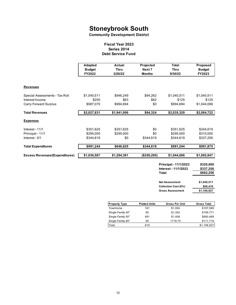**Community Development District**

#### **Fiscal Year 2023 Series 2014 Debt Service Fund**

|                                       | <b>Adopted</b><br><b>Budget</b><br>FY2022 | Actual<br><b>Thru</b><br>2/28/22 | Projected<br>Next 7<br><b>Months</b> | <b>Total</b><br><b>Thru</b><br>9/30/22                        | Proposed<br><b>Budget</b><br>FY2023 |  |
|---------------------------------------|-------------------------------------------|----------------------------------|--------------------------------------|---------------------------------------------------------------|-------------------------------------|--|
| <b>Revenues</b>                       |                                           |                                  |                                      |                                                               |                                     |  |
| Special Assessments - Tax Roll        | \$1,040,511                               | \$946,249                        | \$94,262                             | \$1,040,511                                                   | \$1,040,511                         |  |
| Interest Income                       | \$250                                     | \$63                             | \$62                                 | \$125                                                         | \$125                               |  |
| <b>Carry Forward Surplus</b>          | \$987,070                                 | \$994,694                        | \$0                                  | \$994,694                                                     | \$1,044,086                         |  |
| <b>Total Revenues</b>                 | \$2,027,831                               | \$1,941,006                      | \$94,324                             | \$2,035,329                                                   | \$2,084,722                         |  |
| <b>Expenses</b>                       |                                           |                                  |                                      |                                                               |                                     |  |
| Interest - 11/1                       | \$351,625                                 | \$351,625                        | \$0                                  | \$351,625                                                     | \$344,619                           |  |
| Principal - 11/1                      | \$295,000                                 | \$295,000                        | \$0                                  | \$295,000                                                     | \$310,000                           |  |
| Interest - 5/1                        | \$344,619                                 | \$0<br>\$344,619                 |                                      | \$344,619                                                     | \$337,256                           |  |
| <b>Total Expenditures</b>             | \$991,244                                 | \$646,625                        | \$344,619                            | \$991,244                                                     | \$991,875                           |  |
| <b>Excess Revenues/(Expenditures)</b> | \$1,036,587                               | \$1,294,381                      | (\$250, 295)                         | \$1,044,086                                                   | \$1,092,847                         |  |
|                                       |                                           |                                  |                                      | Principal - 11/1/2023<br>Interest - 11/1/2023<br><b>Total</b> | \$325,000<br>\$337,256<br>\$662,256 |  |
|                                       |                                           |                                  |                                      | <b>Net Assessment</b><br>Collection Cost (6%)                 | \$1,040,511<br>\$66,416             |  |
|                                       |                                           |                                  |                                      | <b>Gross Assessment</b>                                       | \$1,106,927                         |  |
|                                       |                                           |                                  |                                      |                                                               |                                     |  |
|                                       |                                           | <b>Property Type</b>             | <b>Platted Units</b>                 | <b>Gross Per Unit</b>                                         | <b>Gross Total</b>                  |  |
|                                       |                                           | Townhome                         | 181                                  | \$1,094                                                       | \$197,969                           |  |
|                                       |                                           | Single Family 40"                | 82                                   | \$1,302                                                       | \$106,771                           |  |
|                                       |                                           | Single Family 50"                | 491                                  | \$1,406                                                       | \$690,469                           |  |
|                                       |                                           | Single Family 80"                | 65                                   | 1718.75                                                       | \$111,719                           |  |
|                                       |                                           | Total                            | 819                                  |                                                               | \$1,106,927                         |  |